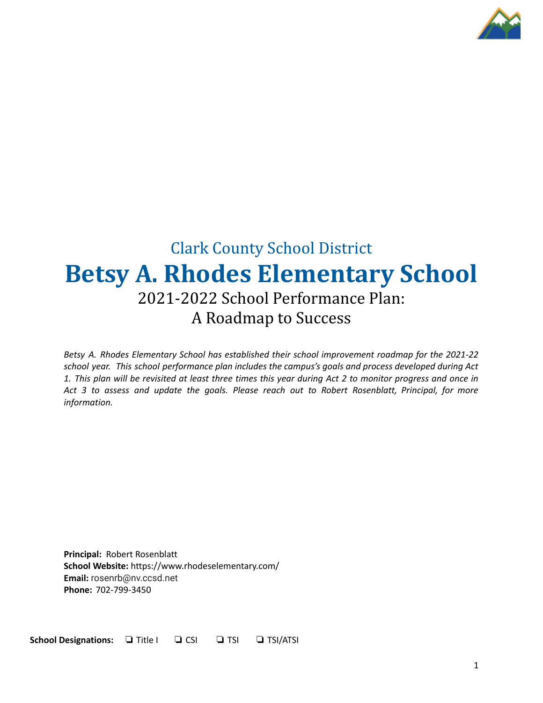

# Clark County School District **Betsy A. Rhodes Elementary School** 2021-2022 School Performance Plan: A Roadmap to Success

*Betsy A. Rhodes Elementary School has established their school improvement roadmap for the 2021-22 school year. This school performance plan includes the campus's goals and process developed during Act* 1. This plan will be revisited at least three times this year during Act 2 to monitor progress and once in *Act 3 to assess and update the goals. Please reach out to Robert Rosenblatt, Principal, for more information.*

**Principal:** Robert Rosenblatt **School Website:** https://www.rhodeselementary.com/ **Email:** rosenrb@nv.ccsd.net **Phone:** 702-799-3450

**School Designations:** ❏ Title I ❏ CSI ❏ TSI ❏ TSI/ATSI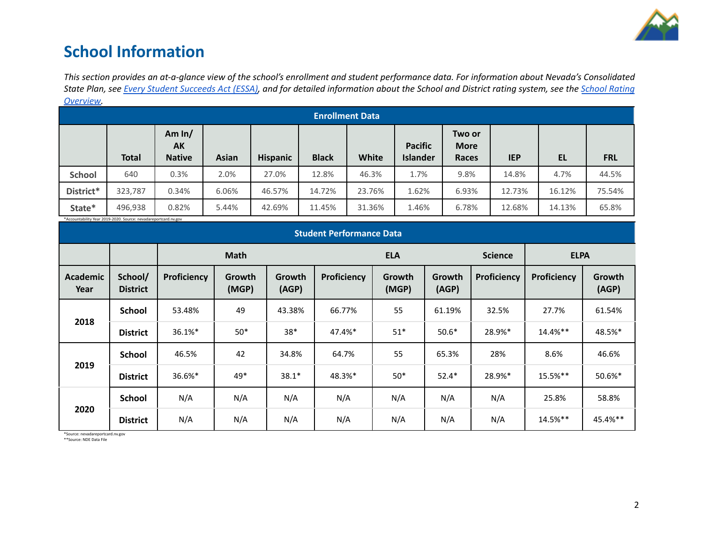

## **School Information**

This section provides an at-a-glance view of the school's enrollment and student performance data. For information about Nevada's Consolidated State Plan, see Every Student [Succeeds](https://doe.nv.gov/uploadedFiles/ndedoenvgov/content/Boards_Commissions_Councils/ESSA_Adv_Group/NevadaSubmittedConsolidatedPlanFinal.pdf) Act (ESSA), and for detailed information about the School and District rating system, see the School [Rating](http://nevadareportcard.nv.gov/DI/MoreDownload?filename=Nevadas%20School%20Rating%20System.pdf) *[Overview.](http://nevadareportcard.nv.gov/DI/MoreDownload?filename=Nevadas%20School%20Rating%20System.pdf)*

|                        | <u>OVERVICTV.</u>                                               |                                 |              |                 |              |        |                                   |                                       |            |        |            |
|------------------------|-----------------------------------------------------------------|---------------------------------|--------------|-----------------|--------------|--------|-----------------------------------|---------------------------------------|------------|--------|------------|
| <b>Enrollment Data</b> |                                                                 |                                 |              |                 |              |        |                                   |                                       |            |        |            |
|                        | <b>Total</b>                                                    | Am $ln/$<br>AK<br><b>Native</b> | <b>Asian</b> | <b>Hispanic</b> | <b>Black</b> | White  | <b>Pacific</b><br><b>Islander</b> | Two or<br><b>More</b><br><b>Races</b> | <b>IEP</b> | EL     | <b>FRL</b> |
| <b>School</b>          | 640                                                             | 0.3%                            | 2.0%         | 27.0%           | 12.8%        | 46.3%  | 1.7%                              | 9.8%                                  | 14.8%      | 4.7%   | 44.5%      |
| District*              | 323,787                                                         | 0.34%                           | 6.06%        | 46.57%          | 14.72%       | 23.76% | 1.62%                             | 6.93%                                 | 12.73%     | 16.12% | 75.54%     |
| State*                 | 496,938                                                         | 0.82%                           | 5.44%        | 42.69%          | 11.45%       | 31.36% | 1.46%                             | 6.78%                                 | 12.68%     | 14.13% | 65.8%      |
|                        | *Accountability Year 2019-2020. Source: nevadareportcard.nv.gov |                                 |              |                 |              |        |                                   |                                       |            |        |            |

| <b>Student Performance Data</b> |                            |             |                 |                 |             |                 |                 |                |             |                 |
|---------------------------------|----------------------------|-------------|-----------------|-----------------|-------------|-----------------|-----------------|----------------|-------------|-----------------|
|                                 |                            |             | <b>Math</b>     |                 |             | <b>ELA</b>      |                 | <b>Science</b> | <b>ELPA</b> |                 |
| <b>Academic</b><br>Year         | School/<br><b>District</b> | Proficiency | Growth<br>(MGP) | Growth<br>(AGP) | Proficiency | Growth<br>(MGP) | Growth<br>(AGP) | Proficiency    | Proficiency | Growth<br>(AGP) |
|                                 | <b>School</b>              | 53.48%      | 49              | 43.38%          | 66.77%      | 55              | 61.19%          | 32.5%          | 27.7%       | 61.54%          |
| 2018                            | <b>District</b>            | 36.1%*      | $50*$           | $38*$           | 47.4%*      | $51*$           | $50.6*$         | 28.9%*         | $14.4%$ **  | 48.5%*          |
|                                 | <b>School</b>              | 46.5%       | 42              | 34.8%           | 64.7%       | 55              | 65.3%           | 28%            | 8.6%        | 46.6%           |
| 2019                            | <b>District</b>            | 36.6%*      | 49*             | $38.1*$         | 48.3%*      | $50*$           | $52.4*$         | 28.9%*         | $15.5\%$ ** | 50.6%*          |
|                                 | <b>School</b>              | N/A         | N/A             | N/A             | N/A         | N/A             | N/A             | N/A            | 25.8%       | 58.8%           |
| 2020                            | <b>District</b>            | N/A         | N/A             | N/A             | N/A         | N/A             | N/A             | N/A            | 14.5%**     | 45.4%**         |

\*Source: nevadareportcard.nv.gov \*\*Source: NDE Data File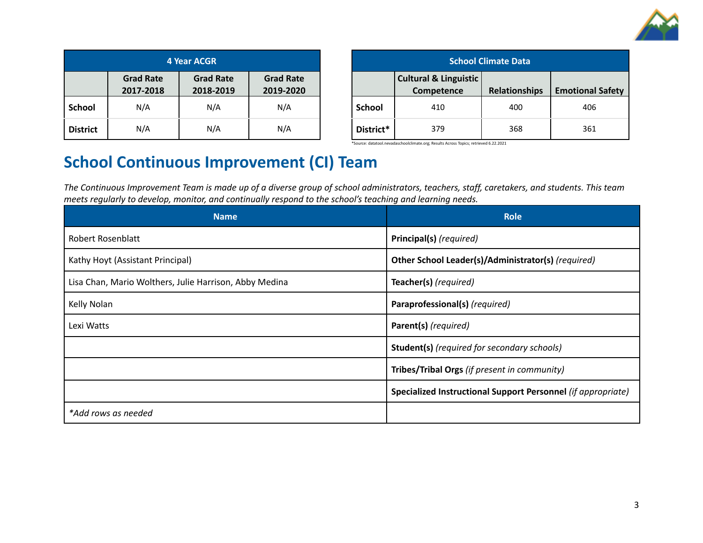

| <b>4 Year ACGR</b> |                               |                               |                               |  |  |
|--------------------|-------------------------------|-------------------------------|-------------------------------|--|--|
|                    | <b>Grad Rate</b><br>2017-2018 | <b>Grad Rate</b><br>2018-2019 | <b>Grad Rate</b><br>2019-2020 |  |  |
| <b>School</b>      | N/A                           | N/A                           | N/A                           |  |  |
| <b>District</b>    | N/A                           | N/A                           | N/A                           |  |  |

| <b>School Climate Data</b> |                                                |                      |                         |  |  |
|----------------------------|------------------------------------------------|----------------------|-------------------------|--|--|
|                            | <b>Cultural &amp; Linguistic</b><br>Competence | <b>Relationships</b> | <b>Emotional Safety</b> |  |  |
| <b>School</b>              | 410                                            | 400                  | 406                     |  |  |
| District*                  | 379                                            | 368                  | 361                     |  |  |

\*Source: datatool.nevadaschoolclimate.org; Results Across Topics; retrieved 6.22.2021

# **School Continuous Improvement (CI) Team**

The Continuous Improvement Team is made up of a diverse group of school administrators, teachers, staff, caretakers, and students. This team *meets regularly to develop, monitor, and continually respond to the school's teaching and learning needs.*

| <b>Name</b>                                                                     | <b>Role</b>                                                  |
|---------------------------------------------------------------------------------|--------------------------------------------------------------|
| Robert Rosenblatt                                                               | Principal(s) (required)                                      |
| Kathy Hoyt (Assistant Principal)                                                | Other School Leader(s)/Administrator(s) (required)           |
| Teacher(s) (required)<br>Lisa Chan, Mario Wolthers, Julie Harrison, Abby Medina |                                                              |
| Kelly Nolan                                                                     | Paraprofessional(s) (required)                               |
| Lexi Watts                                                                      | Parent(s) (required)                                         |
|                                                                                 | <b>Student(s)</b> (required for secondary schools)           |
|                                                                                 | Tribes/Tribal Orgs (if present in community)                 |
|                                                                                 | Specialized Instructional Support Personnel (if appropriate) |
| *Add rows as needed                                                             |                                                              |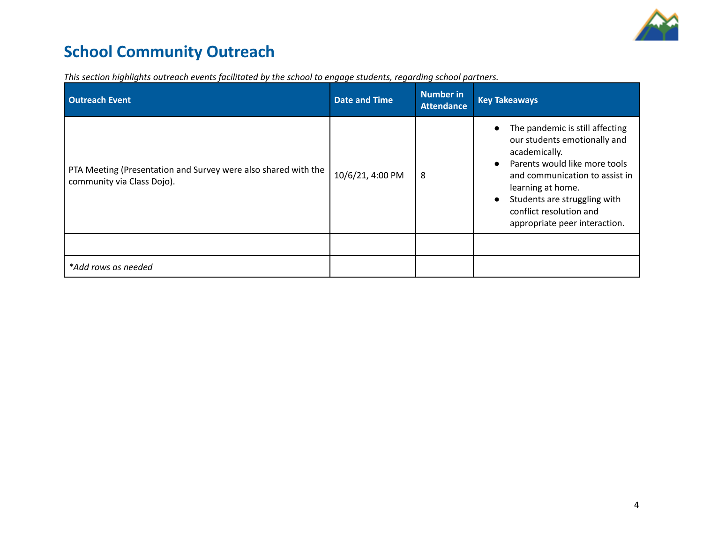

# **School Community Outreach**

| <b>Outreach Event</b>                                                                        | <b>Date and Time</b> | <b>Number in</b><br><b>Attendance</b> | <b>Key Takeaways</b>                                                                                                                                                                                                                                                                           |
|----------------------------------------------------------------------------------------------|----------------------|---------------------------------------|------------------------------------------------------------------------------------------------------------------------------------------------------------------------------------------------------------------------------------------------------------------------------------------------|
| PTA Meeting (Presentation and Survey were also shared with the<br>community via Class Dojo). | 10/6/21, 4:00 PM     | 8                                     | The pandemic is still affecting<br>our students emotionally and<br>academically.<br>Parents would like more tools<br>$\bullet$<br>and communication to assist in<br>learning at home.<br>Students are struggling with<br>$\bullet$<br>conflict resolution and<br>appropriate peer interaction. |
|                                                                                              |                      |                                       |                                                                                                                                                                                                                                                                                                |
| *Add rows as needed                                                                          |                      |                                       |                                                                                                                                                                                                                                                                                                |

*This section highlights outreach events facilitated by the school to engage students, regarding school partners.*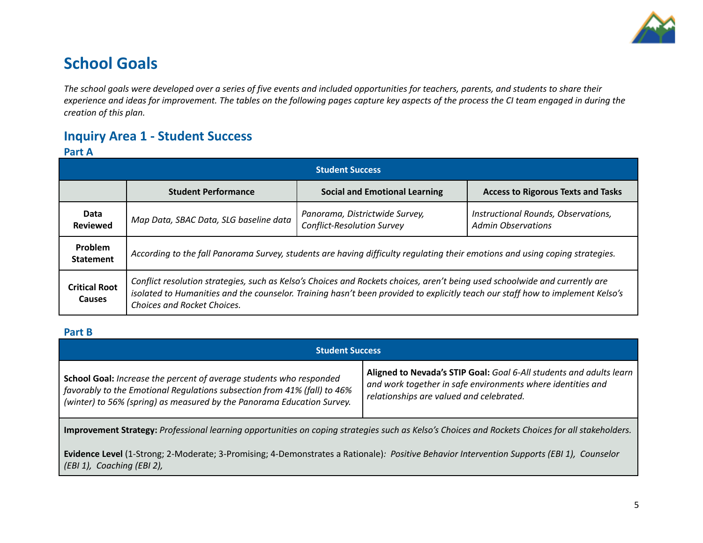

# **School Goals**

The school goals were developed over a series of five events and included opportunities for teachers, parents, and students to share their experience and ideas for improvement. The tables on the following pages capture key aspects of the process the CI team engaged in during the *creation of this plan.*

## **Inquiry Area 1 - Student Success**

### **Part A**

| <b>Student Success</b>                |                                                                                                                                                                                                                                                                                              |                                                                     |                                                                  |  |  |
|---------------------------------------|----------------------------------------------------------------------------------------------------------------------------------------------------------------------------------------------------------------------------------------------------------------------------------------------|---------------------------------------------------------------------|------------------------------------------------------------------|--|--|
|                                       | <b>Student Performance</b>                                                                                                                                                                                                                                                                   | <b>Social and Emotional Learning</b>                                | <b>Access to Rigorous Texts and Tasks</b>                        |  |  |
| Data<br><b>Reviewed</b>               | Map Data, SBAC Data, SLG baseline data                                                                                                                                                                                                                                                       | Panorama, Districtwide Survey,<br><b>Conflict-Resolution Survey</b> | Instructional Rounds, Observations,<br><b>Admin Observations</b> |  |  |
| Problem<br><b>Statement</b>           | According to the fall Panorama Survey, students are having difficulty regulating their emotions and using coping strategies.                                                                                                                                                                 |                                                                     |                                                                  |  |  |
| <b>Critical Root</b><br><b>Causes</b> | Conflict resolution strategies, such as Kelso's Choices and Rockets choices, aren't being used schoolwide and currently are<br>isolated to Humanities and the counselor. Training hasn't been provided to explicitly teach our staff how to implement Kelso's<br>Choices and Rocket Choices. |                                                                     |                                                                  |  |  |

#### **Part B**

| <b>Student Success</b>                                                                                                                                                                                                    |                                                                                                                                                                                |  |  |  |
|---------------------------------------------------------------------------------------------------------------------------------------------------------------------------------------------------------------------------|--------------------------------------------------------------------------------------------------------------------------------------------------------------------------------|--|--|--|
| School Goal: Increase the percent of average students who responded<br>favorably to the Emotional Regulations subsection from 41% (fall) to 46%<br>(winter) to 56% (spring) as measured by the Panorama Education Survey. | Aligned to Nevada's STIP Goal: Goal 6-All students and adults learn<br>and work together in safe environments where identities and<br>relationships are valued and celebrated. |  |  |  |
| Improvement Strategy: Professional learning opportunities on coping strategies such as Kelso's Choices and Rockets Choices for all stakeholders.                                                                          |                                                                                                                                                                                |  |  |  |
| Evidence Level (1-Strong; 2-Moderate; 3-Promising; 4-Demonstrates a Rationale): Positive Behavior Intervention Supports (EBI 1), Counselor<br>(EBI 1), Coaching (EBI 2),                                                  |                                                                                                                                                                                |  |  |  |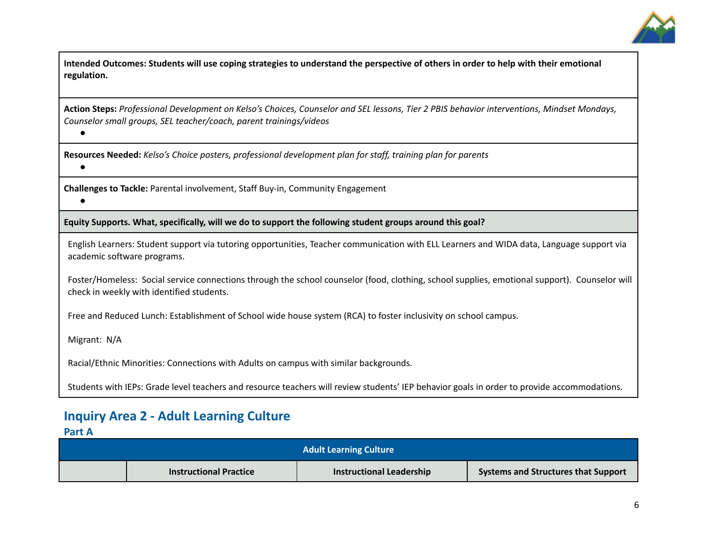

Intended Outcomes: Students will use coping strategies to understand the perspective of others in order to help with their emotional **regulation.**

Action Steps: Professional Development on Kelso's Choices, Counselor and SEL lessons, Tier 2 PBIS behavior interventions, Mindset Mondays, *Counselor small groups, SEL teacher/coach, parent trainings/videos*

**Resources Needed:** *Kelso's Choice posters, professional development plan for staff, training plan for parents*

**Challenges to Tackle:** Parental involvement, Staff Buy-in, Community Engagement

**Equity Supports. What, specifically, will we do to support the following student groups around this goal?**

English Learners: Student support via tutoring opportunities, Teacher communication with ELL Learners and WIDA data, Language support via academic software programs.

Foster/Homeless: Social service connections through the school counselor (food, clothing, school supplies, emotional support). Counselor will check in weekly with identified students.

Free and Reduced Lunch: Establishment of School wide house system (RCA) to foster inclusivity on school campus.

Migrant: N/A

*●*

**●**

*●*

Racial/Ethnic Minorities: Connections with Adults on campus with similar backgrounds.

Students with IEPs: Grade level teachers and resource teachers will review students' IEP behavior goals in order to provide accommodations.

## **Inquiry Area 2 - Adult Learning Culture**

**Part A**

| <b>Adult Learning Culture</b> |                               |                                 |                                            |  |
|-------------------------------|-------------------------------|---------------------------------|--------------------------------------------|--|
|                               | <b>Instructional Practice</b> | <b>Instructional Leadership</b> | <b>Systems and Structures that Support</b> |  |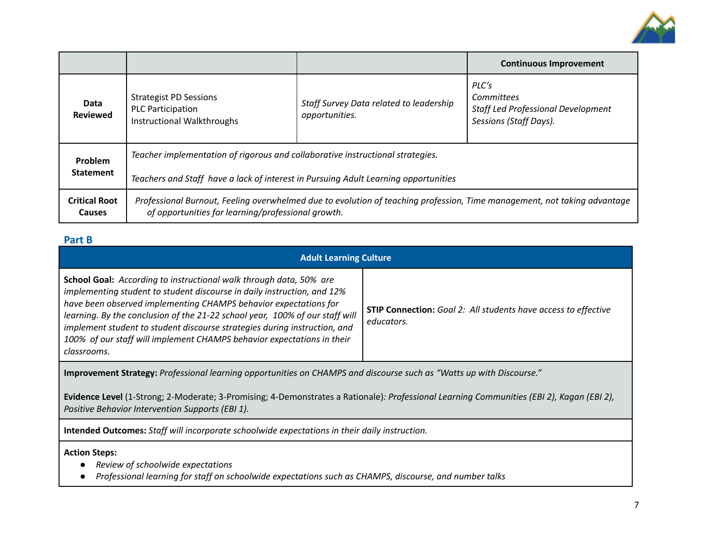

|                                       |                                                                                                                                                                                |                                                           | <b>Continuous Improvement</b>                                                              |  |  |
|---------------------------------------|--------------------------------------------------------------------------------------------------------------------------------------------------------------------------------|-----------------------------------------------------------|--------------------------------------------------------------------------------------------|--|--|
| Data<br><b>Reviewed</b>               | <b>Strategist PD Sessions</b><br><b>PLC Participation</b><br>Instructional Walkthroughs                                                                                        | Staff Survey Data related to leadership<br>opportunities. | PLC's<br>Committees<br><b>Staff Led Professional Development</b><br>Sessions (Staff Days). |  |  |
| Problem                               | Teacher implementation of rigorous and collaborative instructional strategies.                                                                                                 |                                                           |                                                                                            |  |  |
| <b>Statement</b>                      | Teachers and Staff have a lack of interest in Pursuing Adult Learning opportunities                                                                                            |                                                           |                                                                                            |  |  |
| <b>Critical Root</b><br><b>Causes</b> | Professional Burnout, Feeling overwhelmed due to evolution of teaching profession, Time management, not taking advantage<br>of opportunities for learning/professional growth. |                                                           |                                                                                            |  |  |

### **Part B**

| <b>Adult Learning Culture</b>                                                                                                                                                                                                                                                                                                                                                                                                                                                                                                                                         |  |  |  |  |  |
|-----------------------------------------------------------------------------------------------------------------------------------------------------------------------------------------------------------------------------------------------------------------------------------------------------------------------------------------------------------------------------------------------------------------------------------------------------------------------------------------------------------------------------------------------------------------------|--|--|--|--|--|
| <b>School Goal:</b> According to instructional walk through data, 50% are<br>implementing student to student discourse in daily instruction, and 12%<br>have been observed implementing CHAMPS behavior expectations for<br><b>STIP Connection:</b> Goal 2: All students have access to effective<br>learning. By the conclusion of the 21-22 school year, 100% of our staff will<br>educators.<br>implement student to student discourse strategies during instruction, and<br>100% of our staff will implement CHAMPS behavior expectations in their<br>classrooms. |  |  |  |  |  |
| Improvement Strategy: Professional learning opportunities on CHAMPS and discourse such as "Watts up with Discourse."<br>Evidence Level (1-Strong; 2-Moderate; 3-Promising; 4-Demonstrates a Rationale): Professional Learning Communities (EBI 2), Kagan (EBI 2),<br>Positive Behavior Intervention Supports (EBI 1).                                                                                                                                                                                                                                                 |  |  |  |  |  |
| Intended Outcomes: Staff will incorporate schoolwide expectations in their daily instruction.                                                                                                                                                                                                                                                                                                                                                                                                                                                                         |  |  |  |  |  |
| <b>Action Steps:</b><br>Review of schoolwide expectations<br>Professional learning for staff on schoolwide expectations such as CHAMPS, discourse, and number talks                                                                                                                                                                                                                                                                                                                                                                                                   |  |  |  |  |  |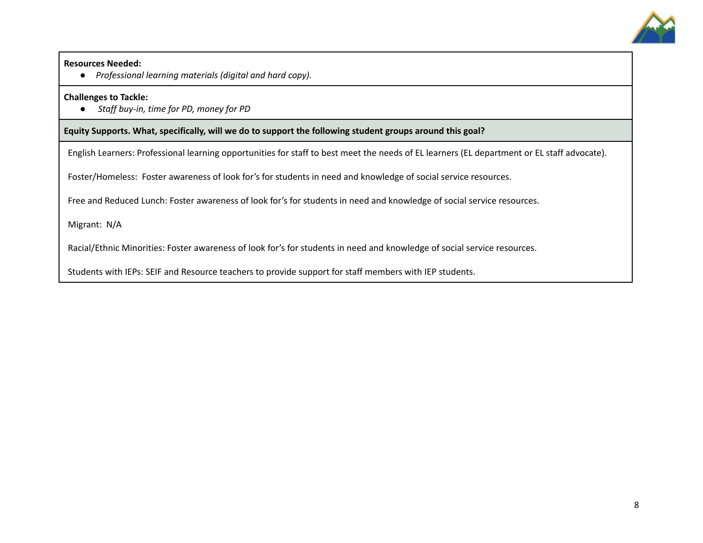

#### **Resources Needed:**

**●** *Professional learning materials (digital and hard copy).*

#### **Challenges to Tackle:**

**●** *Staff buy-in, time for PD, money for PD*

**Equity Supports. What, specifically, will we do to support the following student groups around this goal?**

English Learners: Professional learning opportunities for staff to best meet the needs of EL learners (EL department or EL staff advocate).

Foster/Homeless: Foster awareness of look for's for students in need and knowledge of social service resources.

Free and Reduced Lunch: Foster awareness of look for's for students in need and knowledge of social service resources.

Migrant: N/A

Racial/Ethnic Minorities: Foster awareness of look for's for students in need and knowledge of social service resources.

Students with IEPs: SEIF and Resource teachers to provide support for staff members with IEP students.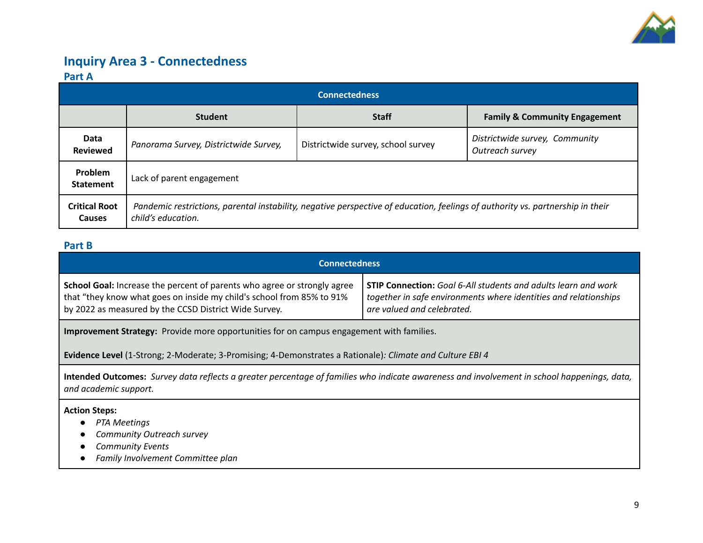

### **Inquiry Area 3 - Connectedness**

### **Part A**

| <b>Connectedness</b>           |                                       |                                                                                                                                |                                                   |  |  |
|--------------------------------|---------------------------------------|--------------------------------------------------------------------------------------------------------------------------------|---------------------------------------------------|--|--|
|                                | <b>Student</b>                        | <b>Staff</b>                                                                                                                   | <b>Family &amp; Community Engagement</b>          |  |  |
| Data<br><b>Reviewed</b>        | Panorama Survey, Districtwide Survey, | Districtwide survey, school survey                                                                                             | Districtwide survey, Community<br>Outreach survey |  |  |
| Problem<br><b>Statement</b>    | Lack of parent engagement             |                                                                                                                                |                                                   |  |  |
| <b>Critical Root</b><br>Causes | child's education.                    | Pandemic restrictions, parental instability, negative perspective of education, feelings of authority vs. partnership in their |                                                   |  |  |

### **Part B**

| <b>Connectedness</b>                                                     |                                                                       |  |  |
|--------------------------------------------------------------------------|-----------------------------------------------------------------------|--|--|
| School Goal: Increase the percent of parents who agree or strongly agree | <b>STIP Connection:</b> Goal 6-All students and adults learn and work |  |  |
| that "they know what goes on inside my child's school from 85% to 91%    | together in safe environments where identities and relationships      |  |  |
| by 2022 as measured by the CCSD District Wide Survey.                    | are valued and celebrated.                                            |  |  |

**Improvement Strategy:** Provide more opportunities for on campus engagement with families.

**Evidence Level** (1-Strong; 2-Moderate; 3-Promising; 4-Demonstrates a Rationale)*: Climate and Culture EBI 4*

Intended Outcomes: Survey data reflects a greater percentage of families who indicate awareness and involvement in school happenings, data, *and academic support.*

**Action Steps:**

- *● PTA Meetings*
- *● Community Outreach survey*
- *● Community Events*
- *● Family Involvement Committee plan*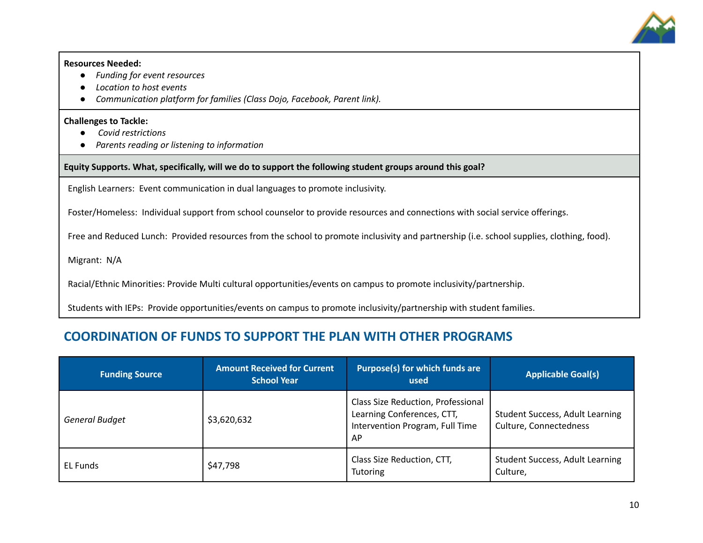

#### **Resources Needed:**

- **●** *Funding for event resources*
- *● Location to host events*
- *● Communication platform for families (Class Dojo, Facebook, Parent link).*

#### **Challenges to Tackle:**

- **●** *Covid restrictions*
- *● Parents reading or listening to information*

**Equity Supports. What, specifically, will we do to support the following student groups around this goal?**

English Learners: Event communication in dual languages to promote inclusivity.

Foster/Homeless: Individual support from school counselor to provide resources and connections with social service offerings.

Free and Reduced Lunch: Provided resources from the school to promote inclusivity and partnership (i.e. school supplies, clothing, food).

Migrant: N/A

Racial/Ethnic Minorities: Provide Multi cultural opportunities/events on campus to promote inclusivity/partnership.

Students with IEPs: Provide opportunities/events on campus to promote inclusivity/partnership with student families.

### **COORDINATION OF FUNDS TO SUPPORT THE PLAN WITH OTHER PROGRAMS**

| <b>Funding Source</b> | <b>Amount Received for Current</b><br><b>School Year</b> | Purpose(s) for which funds are<br>used                                                                    | <b>Applicable Goal(s)</b>                                        |
|-----------------------|----------------------------------------------------------|-----------------------------------------------------------------------------------------------------------|------------------------------------------------------------------|
| <b>General Budget</b> | \$3,620,632                                              | Class Size Reduction, Professional<br>Learning Conferences, CTT,<br>Intervention Program, Full Time<br>AP | <b>Student Success, Adult Learning</b><br>Culture, Connectedness |
| EL Funds              | \$47,798                                                 | Class Size Reduction, CTT,<br><b>Tutoring</b>                                                             | <b>Student Success, Adult Learning</b><br>Culture,               |